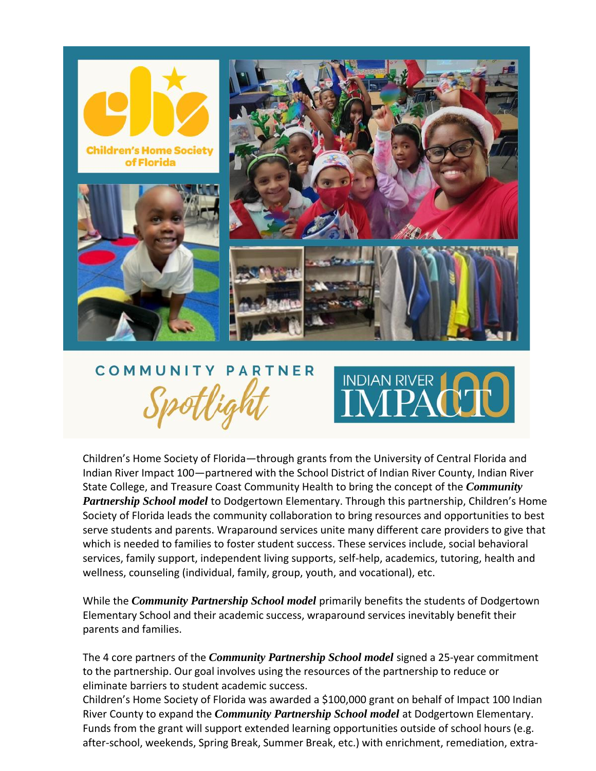

## COMMUNITY PARTNER



Children's Home Society of Florida—through grants from the University of Central Florida and Indian River Impact 100—partnered with the School District of Indian River County, Indian River State College, and Treasure Coast Community Health to bring the concept of the *Community Partnership School model* to Dodgertown Elementary. Through this partnership, Children's Home Society of Florida leads the community collaboration to bring resources and opportunities to best serve students and parents. Wraparound services unite many different care providers to give that which is needed to families to foster student success. These services include, social behavioral services, family support, independent living supports, self-help, academics, tutoring, health and wellness, counseling (individual, family, group, youth, and vocational), etc.

While the *Community Partnership School model* primarily benefits the students of Dodgertown Elementary School and their academic success, wraparound services inevitably benefit their parents and families.

The 4 core partners of the *Community Partnership School model* signed a 25-year commitment to the partnership. Our goal involves using the resources of the partnership to reduce or eliminate barriers to student academic success.

Children's Home Society of Florida was awarded a \$100,000 grant on behalf of Impact 100 Indian River County to expand the *Community Partnership School model* at Dodgertown Elementary. Funds from the grant will support extended learning opportunities outside of school hours (e.g. after-school, weekends, Spring Break, Summer Break, etc.) with enrichment, remediation, extra